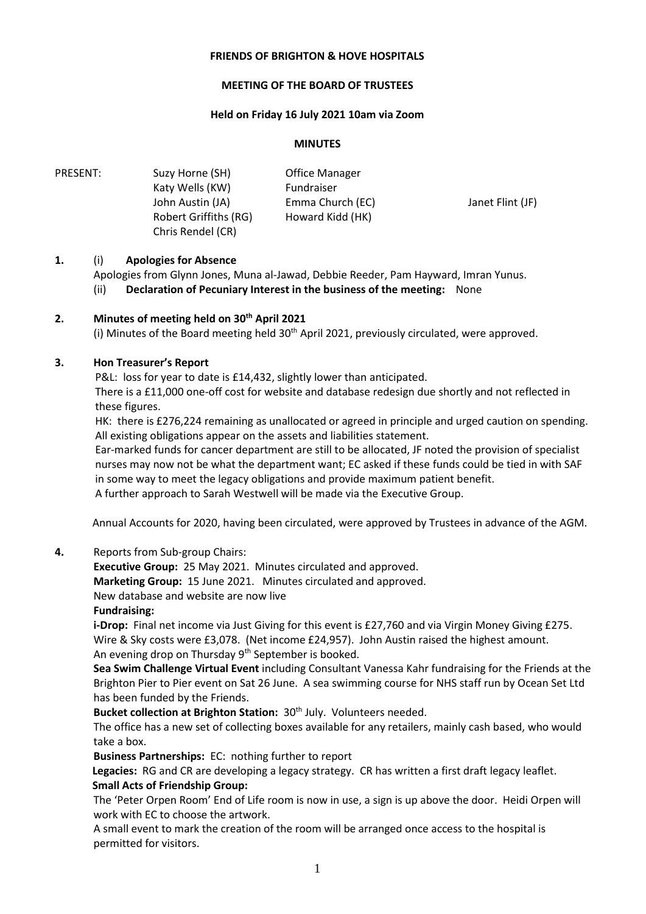## **FRIENDS OF BRIGHTON & HOVE HOSPITALS**

#### **MEETING OF THE BOARD OF TRUSTEES**

#### **Held on Friday 16 July 2021 10am via Zoom**

#### **MINUTES**

| PRESENT: | Suzy Horne (SH)       | <b>Office Manager</b> |                  |
|----------|-----------------------|-----------------------|------------------|
|          | Katy Wells (KW)       | Fundraiser            |                  |
|          | John Austin (JA)      | Emma Church (EC)      | Janet Flint (JF) |
|          | Robert Griffiths (RG) | Howard Kidd (HK)      |                  |
|          | Chris Rendel (CR)     |                       |                  |

## **1.** (i) **Apologies for Absence**

Apologies from Glynn Jones, Muna al-Jawad, Debbie Reeder, Pam Hayward, Imran Yunus. (ii) **Declaration of Pecuniary Interest in the business of the meeting:** None

## **2. Minutes of meeting held on 30th April 2021**

(i) Minutes of the Board meeting held  $30<sup>th</sup>$  April 2021, previously circulated, were approved.

## **3. Hon Treasurer's Report**

P&L: loss for year to date is £14,432, slightly lower than anticipated.

 There is a £11,000 one-off cost for website and database redesign due shortly and not reflected in these figures.

 HK: there is £276,224 remaining as unallocated or agreed in principle and urged caution on spending. All existing obligations appear on the assets and liabilities statement.

Ear-marked funds for cancer department are still to be allocated, JF noted the provision of specialist nurses may now not be what the department want; EC asked if these funds could be tied in with SAF in some way to meet the legacy obligations and provide maximum patient benefit.

A further approach to Sarah Westwell will be made via the Executive Group.

Annual Accounts for 2020, having been circulated, were approved by Trustees in advance of the AGM.

## **4.** Reports from Sub-group Chairs:

**Executive Group:** 25 May 2021. Minutes circulated and approved.

**Marketing Group:** 15 June 2021. Minutes circulated and approved.

New database and website are now live

## **Fundraising:**

**i-Drop:** Final net income via Just Giving for this event is £27,760 and via Virgin Money Giving £275. Wire & Sky costs were £3,078. (Net income £24,957). John Austin raised the highest amount. An evening drop on Thursday 9<sup>th</sup> September is booked.

**Sea Swim Challenge Virtual Event** including Consultant Vanessa Kahr fundraising for the Friends at the Brighton Pier to Pier event on Sat 26 June. A sea swimming course for NHS staff run by Ocean Set Ltd has been funded by the Friends.

**Bucket collection at Brighton Station: 30<sup>th</sup> July. Volunteers needed.** 

The office has a new set of collecting boxes available for any retailers, mainly cash based, who would take a box.

**Business Partnerships:** EC: nothing further to report

 **Legacies:** RG and CR are developing a legacy strategy. CR has written a first draft legacy leaflet. **Small Acts of Friendship Group:**

The 'Peter Orpen Room' End of Life room is now in use, a sign is up above the door. Heidi Orpen will work with EC to choose the artwork.

A small event to mark the creation of the room will be arranged once access to the hospital is permitted for visitors.